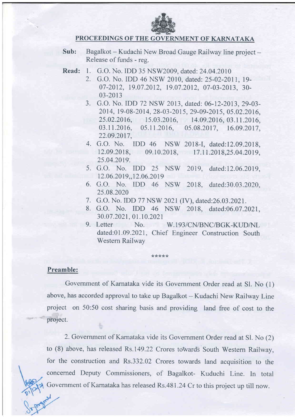

## PROCEEDINGS OF THE GOVERNMENT OF KARNATAKA

- Sub: Bagalkot Kudachi New Broad Gauge Railway line project -Release of funds - reg.
- Read: l. G.O. No. IDD 35 NSW2009, dated:24.04.2010
	- 2. G.O. No. IDD 46 NSW 2010, dated: 25-02-2011, 19- 07-2012, 19.07.2012, 19.07.2012, 07-03-2013, 30-03-2013
	- 3. G.O. No. IDD 72 NSW 2013, dated: 06-12-2013,29-03- 2014, 19-08-2014, 28-03-2015, 29-09-2015, 05.02.2016, 25.02.20t6, 15.03.2016, 14.09.2016, 03.11.2016, 03. 11. 2016, 05. 11. 2016, 05. 08. 2017, 16. 09. 2017, 22.09.20t7,
	- 4. G.O. No. IDD 46 NSW 2018-I, dated:12.09.2018, 12.09.2018, 09.10.2018, 17.11.2018,25.04.2019, 25.04.2019.
	- 5. G.O. No. IDD 25 NSW 2019, dated:12.06.2019, 12.06.2019, 12.06.2019
	- G.O. No. IDD 46 NSW 2018, dated:30.03 .2020, 6.2s.08.2020
	- 7. G.O. No. IDD 77 NSW 2021(IV), dated:26.03.2021.
	- 8. G.O. No. IDD 46 NSW 2018, dated:06.07.2021, 30.07 .2021, 01. t0.2021
	- 9. Letter No. W.193/CN/BNC/BGK-KUD/NL dated:01.09.2021, Chief Engineer Construction South Western Railway

## Preamble:

Govemment of Karnataka vide its Government Order read at Sl. No (1) above, has accorded approval to take up Bagalkot - Kudachi New Railway Line project on 50:50 cost sharing basis and providing land free of cost to the project.

\*\*\*\*\*

2. Government of Kamataka vide its Government Order read at Sl. No (2) to (8) above, has released Rs.149.22 Crores towards South Western Railway, for the construction and Rs.332.02 Crores towards land acquisition to the concerned Deputy Commissioners, of Bagalkot- Kuduchi Line. In total Government of Karnataka has released Rs.48 |.24 Cr to this project up till now.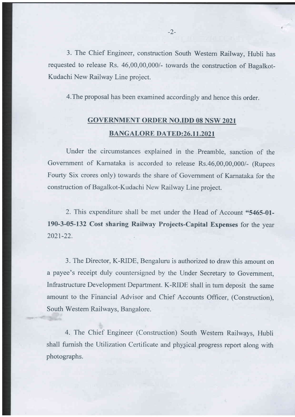3. The Chief Engineer, construction South Western Railway, Hubli has requested to release Rs. 46,00,00,000/- towards the construction of Bagalkot-Kudachi New Railway Line project.

4.The proposal has been examined accordingly and hence this order.

## GOVERIIMENT ORDER NO.IDD 08 NSW 2O2I BANGALORE DATED:26.11.2021

Under the circumstances explained in the Preamble, sanction of the Government of Karnataka is accorded to release Rs.46,00,00,000/- (Rupees Fourty Six crores only) towards the share of Government of Karnataka for the construction of Bagalkot-Kudachi New Railway Line project.

2. This expenditure shall be met under the Head of Account "5465-01-190-3-05-132 Cost sharing Railway Projects-Capital Expenses for the year 2021-22.

3. The Director, K-RIDE, Bengaluru is authorized to draw this amount on a payee's receipt duly countersigned by the Under Secretary to Govemment, Infrastructure Development Department. K-RIDE shall in turn deposit the same amount to the Financial Advisor and Chief Accounts Officer, (Construction), South Westem Railways, Bangalore.

4. The Chief Engineer (Construction) South Western Railways, Hubli shall furnish the Utilization Certificate and physical progress report along with photographs.